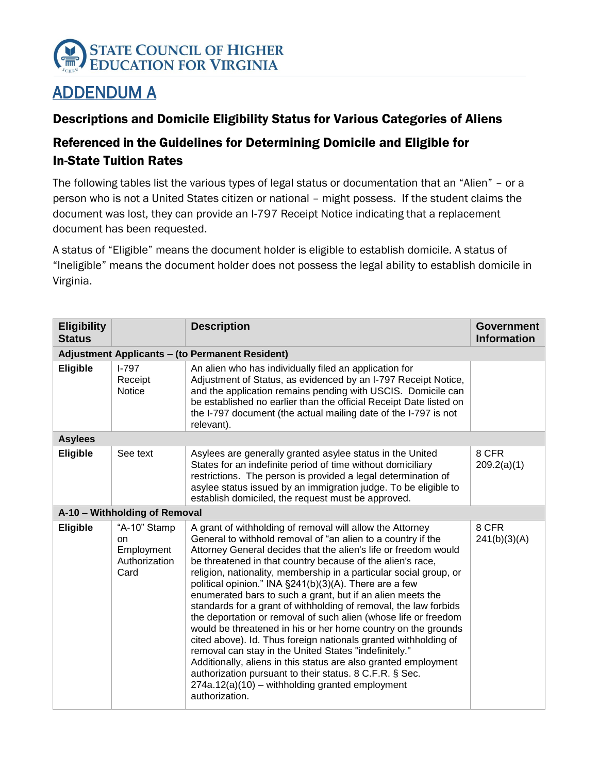

# ADDENDUM A

#### Descriptions and Domicile Eligibility Status for Various Categories of Aliens

## Referenced in the Guidelines for Determining Domicile and Eligible for In-State Tuition Rates

The following tables list the various types of legal status or documentation that an "Alien" – or a person who is not a United States citizen or national – might possess. If the student claims the document was lost, they can provide an I-797 Receipt Notice indicating that a replacement document has been requested.

A status of "Eligible" means the document holder is eligible to establish domicile. A status of "Ineligible" means the document holder does not possess the legal ability to establish domicile in Virginia.

| <b>Eligibility</b><br><b>Status</b> |                                                           | <b>Description</b>                                                                                                                                                                                                                                                                                                                                                                                                                                                                                                                                                                                                                                                                                                                                                                                                                                                                                                                                                                                | <b>Government</b><br><b>Information</b> |  |  |  |
|-------------------------------------|-----------------------------------------------------------|---------------------------------------------------------------------------------------------------------------------------------------------------------------------------------------------------------------------------------------------------------------------------------------------------------------------------------------------------------------------------------------------------------------------------------------------------------------------------------------------------------------------------------------------------------------------------------------------------------------------------------------------------------------------------------------------------------------------------------------------------------------------------------------------------------------------------------------------------------------------------------------------------------------------------------------------------------------------------------------------------|-----------------------------------------|--|--|--|
|                                     | <b>Adjustment Applicants - (to Permanent Resident)</b>    |                                                                                                                                                                                                                                                                                                                                                                                                                                                                                                                                                                                                                                                                                                                                                                                                                                                                                                                                                                                                   |                                         |  |  |  |
| Eligible                            | $I - 797$<br>Receipt<br><b>Notice</b>                     | An alien who has individually filed an application for<br>Adjustment of Status, as evidenced by an I-797 Receipt Notice,<br>and the application remains pending with USCIS. Domicile can<br>be established no earlier than the official Receipt Date listed on<br>the I-797 document (the actual mailing date of the I-797 is not<br>relevant).                                                                                                                                                                                                                                                                                                                                                                                                                                                                                                                                                                                                                                                   |                                         |  |  |  |
| <b>Asylees</b>                      |                                                           |                                                                                                                                                                                                                                                                                                                                                                                                                                                                                                                                                                                                                                                                                                                                                                                                                                                                                                                                                                                                   |                                         |  |  |  |
| Eligible                            | See text                                                  | Asylees are generally granted asylee status in the United<br>States for an indefinite period of time without domiciliary<br>restrictions. The person is provided a legal determination of<br>asylee status issued by an immigration judge. To be eligible to<br>establish domiciled, the request must be approved.                                                                                                                                                                                                                                                                                                                                                                                                                                                                                                                                                                                                                                                                                | 8 CFR<br>209.2(a)(1)                    |  |  |  |
|                                     | A-10 - Withholding of Removal                             |                                                                                                                                                                                                                                                                                                                                                                                                                                                                                                                                                                                                                                                                                                                                                                                                                                                                                                                                                                                                   |                                         |  |  |  |
| Eligible                            | "A-10" Stamp<br>on<br>Employment<br>Authorization<br>Card | A grant of withholding of removal will allow the Attorney<br>General to withhold removal of "an alien to a country if the<br>Attorney General decides that the alien's life or freedom would<br>be threatened in that country because of the alien's race,<br>religion, nationality, membership in a particular social group, or<br>political opinion." INA §241(b)(3)(A). There are a few<br>enumerated bars to such a grant, but if an alien meets the<br>standards for a grant of withholding of removal, the law forbids<br>the deportation or removal of such alien (whose life or freedom<br>would be threatened in his or her home country on the grounds<br>cited above). Id. Thus foreign nationals granted withholding of<br>removal can stay in the United States "indefinitely."<br>Additionally, aliens in this status are also granted employment<br>authorization pursuant to their status. 8 C.F.R. § Sec.<br>$274a.12(a)(10)$ – withholding granted employment<br>authorization. | 8 CFR<br>241(b)(3)(A)                   |  |  |  |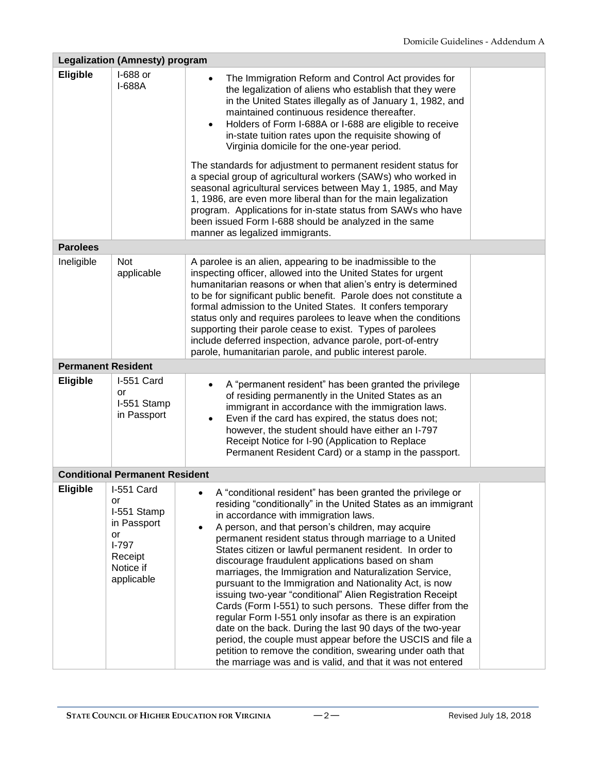|                 | <b>Legalization (Amnesty) program</b>                                                                 |                                                                                                                                                                                                                                                                                                                                                                                                                                                                                                                                                                                                                                                                                                                                                                                                                                                                                                                                                                                    |  |  |  |  |
|-----------------|-------------------------------------------------------------------------------------------------------|------------------------------------------------------------------------------------------------------------------------------------------------------------------------------------------------------------------------------------------------------------------------------------------------------------------------------------------------------------------------------------------------------------------------------------------------------------------------------------------------------------------------------------------------------------------------------------------------------------------------------------------------------------------------------------------------------------------------------------------------------------------------------------------------------------------------------------------------------------------------------------------------------------------------------------------------------------------------------------|--|--|--|--|
| Eligible        | I-688 or<br>I-688A                                                                                    | The Immigration Reform and Control Act provides for<br>the legalization of aliens who establish that they were<br>in the United States illegally as of January 1, 1982, and<br>maintained continuous residence thereafter.<br>Holders of Form I-688A or I-688 are eligible to receive<br>in-state tuition rates upon the requisite showing of<br>Virginia domicile for the one-year period.<br>The standards for adjustment to permanent resident status for<br>a special group of agricultural workers (SAWs) who worked in<br>seasonal agricultural services between May 1, 1985, and May<br>1, 1986, are even more liberal than for the main legalization                                                                                                                                                                                                                                                                                                                       |  |  |  |  |
|                 |                                                                                                       | program. Applications for in-state status from SAWs who have<br>been issued Form I-688 should be analyzed in the same                                                                                                                                                                                                                                                                                                                                                                                                                                                                                                                                                                                                                                                                                                                                                                                                                                                              |  |  |  |  |
|                 |                                                                                                       | manner as legalized immigrants.                                                                                                                                                                                                                                                                                                                                                                                                                                                                                                                                                                                                                                                                                                                                                                                                                                                                                                                                                    |  |  |  |  |
| <b>Parolees</b> |                                                                                                       |                                                                                                                                                                                                                                                                                                                                                                                                                                                                                                                                                                                                                                                                                                                                                                                                                                                                                                                                                                                    |  |  |  |  |
| Ineligible      | Not<br>applicable                                                                                     | A parolee is an alien, appearing to be inadmissible to the<br>inspecting officer, allowed into the United States for urgent<br>humanitarian reasons or when that alien's entry is determined<br>to be for significant public benefit. Parole does not constitute a<br>formal admission to the United States. It confers temporary<br>status only and requires parolees to leave when the conditions<br>supporting their parole cease to exist. Types of parolees<br>include deferred inspection, advance parole, port-of-entry<br>parole, humanitarian parole, and public interest parole.                                                                                                                                                                                                                                                                                                                                                                                         |  |  |  |  |
|                 | <b>Permanent Resident</b>                                                                             |                                                                                                                                                                                                                                                                                                                                                                                                                                                                                                                                                                                                                                                                                                                                                                                                                                                                                                                                                                                    |  |  |  |  |
| <b>Eligible</b> | I-551 Card<br>or<br>I-551 Stamp<br>in Passport                                                        | A "permanent resident" has been granted the privilege<br>٠<br>of residing permanently in the United States as an<br>immigrant in accordance with the immigration laws.<br>Even if the card has expired, the status does not;<br>however, the student should have either an I-797<br>Receipt Notice for I-90 (Application to Replace<br>Permanent Resident Card) or a stamp in the passport.                                                                                                                                                                                                                                                                                                                                                                                                                                                                                                                                                                                        |  |  |  |  |
|                 | <b>Conditional Permanent Resident</b>                                                                 |                                                                                                                                                                                                                                                                                                                                                                                                                                                                                                                                                                                                                                                                                                                                                                                                                                                                                                                                                                                    |  |  |  |  |
| <b>Eligible</b> | I-551 Card<br>or<br>I-551 Stamp<br>in Passport<br>or<br>$I-797$<br>Receipt<br>Notice if<br>applicable | A "conditional resident" has been granted the privilege or<br>residing "conditionally" in the United States as an immigrant<br>in accordance with immigration laws.<br>A person, and that person's children, may acquire<br>$\bullet$<br>permanent resident status through marriage to a United<br>States citizen or lawful permanent resident. In order to<br>discourage fraudulent applications based on sham<br>marriages, the Immigration and Naturalization Service,<br>pursuant to the Immigration and Nationality Act, is now<br>issuing two-year "conditional" Alien Registration Receipt<br>Cards (Form I-551) to such persons. These differ from the<br>regular Form I-551 only insofar as there is an expiration<br>date on the back. During the last 90 days of the two-year<br>period, the couple must appear before the USCIS and file a<br>petition to remove the condition, swearing under oath that<br>the marriage was and is valid, and that it was not entered |  |  |  |  |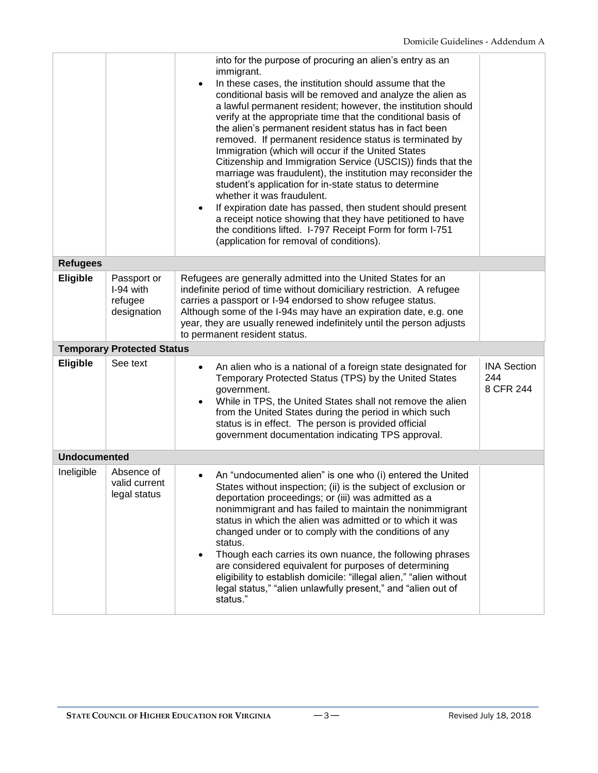|                     |                                                    | into for the purpose of procuring an alien's entry as an<br>immigrant.<br>In these cases, the institution should assume that the<br>$\bullet$<br>conditional basis will be removed and analyze the alien as<br>a lawful permanent resident; however, the institution should<br>verify at the appropriate time that the conditional basis of<br>the alien's permanent resident status has in fact been<br>removed. If permanent residence status is terminated by<br>Immigration (which will occur if the United States<br>Citizenship and Immigration Service (USCIS)) finds that the<br>marriage was fraudulent), the institution may reconsider the<br>student's application for in-state status to determine<br>whether it was fraudulent.<br>If expiration date has passed, then student should present<br>$\bullet$<br>a receipt notice showing that they have petitioned to have<br>the conditions lifted. I-797 Receipt Form for form I-751<br>(application for removal of conditions). |                                        |
|---------------------|----------------------------------------------------|------------------------------------------------------------------------------------------------------------------------------------------------------------------------------------------------------------------------------------------------------------------------------------------------------------------------------------------------------------------------------------------------------------------------------------------------------------------------------------------------------------------------------------------------------------------------------------------------------------------------------------------------------------------------------------------------------------------------------------------------------------------------------------------------------------------------------------------------------------------------------------------------------------------------------------------------------------------------------------------------|----------------------------------------|
| <b>Refugees</b>     |                                                    |                                                                                                                                                                                                                                                                                                                                                                                                                                                                                                                                                                                                                                                                                                                                                                                                                                                                                                                                                                                                |                                        |
| <b>Eligible</b>     | Passport or<br>I-94 with<br>refugee<br>designation | Refugees are generally admitted into the United States for an<br>indefinite period of time without domiciliary restriction. A refugee<br>carries a passport or I-94 endorsed to show refugee status.<br>Although some of the I-94s may have an expiration date, e.g. one<br>year, they are usually renewed indefinitely until the person adjusts<br>to permanent resident status.                                                                                                                                                                                                                                                                                                                                                                                                                                                                                                                                                                                                              |                                        |
|                     | <b>Temporary Protected Status</b>                  |                                                                                                                                                                                                                                                                                                                                                                                                                                                                                                                                                                                                                                                                                                                                                                                                                                                                                                                                                                                                |                                        |
| <b>Eligible</b>     | See text                                           | An alien who is a national of a foreign state designated for<br>٠<br>Temporary Protected Status (TPS) by the United States<br>government.<br>While in TPS, the United States shall not remove the alien<br>from the United States during the period in which such<br>status is in effect. The person is provided official<br>government documentation indicating TPS approval.                                                                                                                                                                                                                                                                                                                                                                                                                                                                                                                                                                                                                 | <b>INA Section</b><br>244<br>8 CFR 244 |
| <b>Undocumented</b> |                                                    |                                                                                                                                                                                                                                                                                                                                                                                                                                                                                                                                                                                                                                                                                                                                                                                                                                                                                                                                                                                                |                                        |
| Ineligible          | Absence of<br>valid current<br>legal status        | An "undocumented alien" is one who (i) entered the United<br>States without inspection; (ii) is the subject of exclusion or<br>deportation proceedings; or (iii) was admitted as a<br>nonimmigrant and has failed to maintain the nonimmigrant<br>status in which the alien was admitted or to which it was<br>changed under or to comply with the conditions of any<br>status.<br>Though each carries its own nuance, the following phrases<br>are considered equivalent for purposes of determining<br>eligibility to establish domicile: "illegal alien," "alien without<br>legal status," "alien unlawfully present," and "alien out of<br>status."                                                                                                                                                                                                                                                                                                                                        |                                        |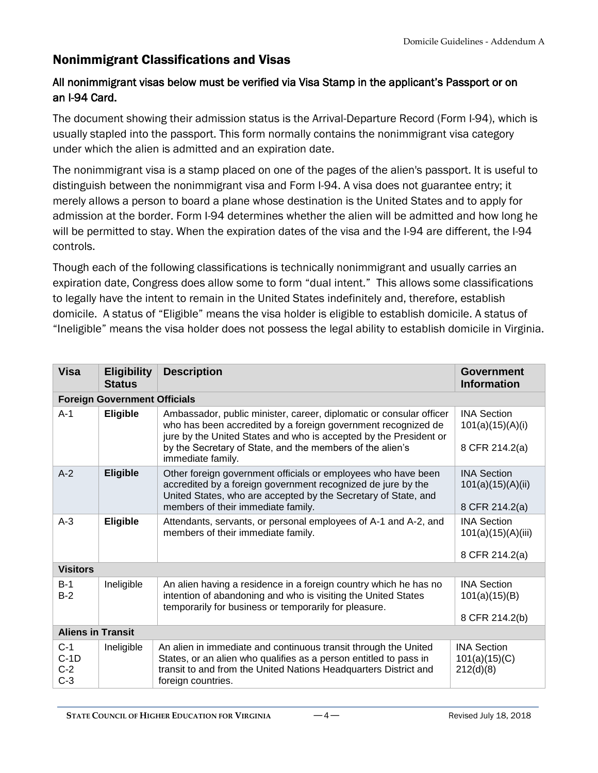## Nonimmigrant Classifications and Visas

#### All nonimmigrant visas below must be verified via Visa Stamp in the applicant's Passport or on an I-94 Card.

The document showing their admission status is the Arrival-Departure Record (Form I-94), which is usually stapled into the passport. This form normally contains the nonimmigrant visa category under which the alien is admitted and an expiration date.

The nonimmigrant visa is a stamp placed on one of the pages of the alien's passport. It is useful to distinguish between the nonimmigrant visa and Form I-94. A visa does not guarantee entry; it merely allows a person to board a plane whose destination is the United States and to apply for admission at the border. Form I-94 determines whether the alien will be admitted and how long he will be permitted to stay. When the expiration dates of the visa and the I-94 are different, the I-94 controls.

Though each of the following classifications is technically nonimmigrant and usually carries an expiration date, Congress does allow some to form "dual intent." This allows some classifications to legally have the intent to remain in the United States indefinitely and, therefore, establish domicile. A status of "Eligible" means the visa holder is eligible to establish domicile. A status of "Ineligible" means the visa holder does not possess the legal ability to establish domicile in Virginia.

| <b>Visa</b>                       | <b>Eligibility</b><br><b>Status</b> | <b>Description</b>                                                                                                                                                                                                                                                                          | Government<br><b>Information</b>                           |
|-----------------------------------|-------------------------------------|---------------------------------------------------------------------------------------------------------------------------------------------------------------------------------------------------------------------------------------------------------------------------------------------|------------------------------------------------------------|
|                                   | <b>Foreign Government Officials</b> |                                                                                                                                                                                                                                                                                             |                                                            |
| $A-1$                             | <b>Eligible</b>                     | Ambassador, public minister, career, diplomatic or consular officer<br>who has been accredited by a foreign government recognized de<br>jure by the United States and who is accepted by the President or<br>by the Secretary of State, and the members of the alien's<br>immediate family. | <b>INA Section</b><br>101(a)(15)(A)(i)<br>8 CFR 214.2(a)   |
| $A-2$                             | <b>Eligible</b>                     | Other foreign government officials or employees who have been<br>accredited by a foreign government recognized de jure by the<br>United States, who are accepted by the Secretary of State, and<br>members of their immediate family.                                                       | <b>INA Section</b><br>101(a)(15)(A)(ii)<br>8 CFR 214.2(a)  |
| $A-3$                             | <b>Eligible</b>                     | Attendants, servants, or personal employees of A-1 and A-2, and<br>members of their immediate family.                                                                                                                                                                                       | <b>INA Section</b><br>101(a)(15)(A)(iii)<br>8 CFR 214.2(a) |
| <b>Visitors</b>                   |                                     |                                                                                                                                                                                                                                                                                             |                                                            |
| $B-1$<br>$B-2$                    | Ineligible                          | An alien having a residence in a foreign country which he has no<br>intention of abandoning and who is visiting the United States<br>temporarily for business or temporarily for pleasure.                                                                                                  | <b>INA Section</b><br>101(a)(15)(B)<br>8 CFR 214.2(b)      |
| <b>Aliens in Transit</b>          |                                     |                                                                                                                                                                                                                                                                                             |                                                            |
| $C-1$<br>$C-1D$<br>$C-2$<br>$C-3$ | Ineligible                          | An alien in immediate and continuous transit through the United<br>States, or an alien who qualifies as a person entitled to pass in<br>transit to and from the United Nations Headquarters District and<br>foreign countries.                                                              | <b>INA Section</b><br>101(a)(15)(C)<br>212(d)(8)           |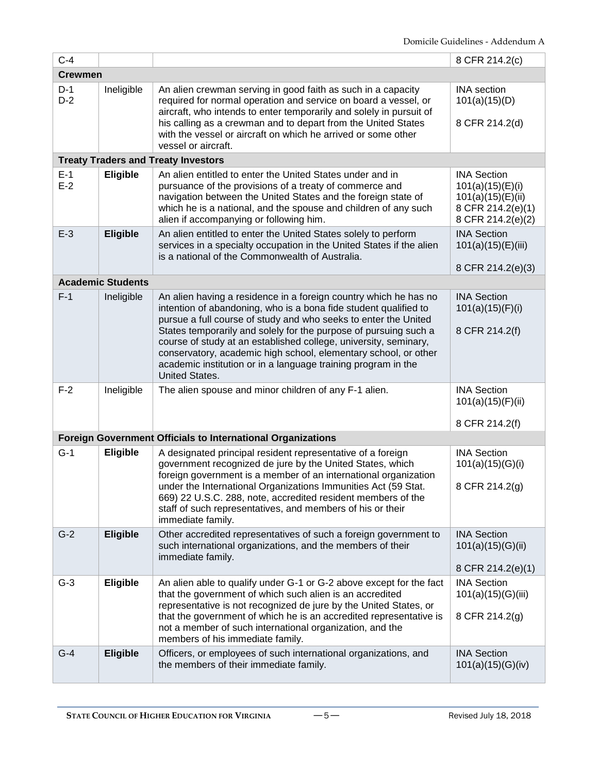| $C-4$          |                          |                                                                                                                                                                                                                                                                                                                                                                                                                                                                                                              | 8 CFR 214.2(c)                                                                                        |  |
|----------------|--------------------------|--------------------------------------------------------------------------------------------------------------------------------------------------------------------------------------------------------------------------------------------------------------------------------------------------------------------------------------------------------------------------------------------------------------------------------------------------------------------------------------------------------------|-------------------------------------------------------------------------------------------------------|--|
|                | <b>Crewmen</b>           |                                                                                                                                                                                                                                                                                                                                                                                                                                                                                                              |                                                                                                       |  |
| $D-1$<br>$D-2$ | Ineligible               | An alien crewman serving in good faith as such in a capacity<br>required for normal operation and service on board a vessel, or<br>aircraft, who intends to enter temporarily and solely in pursuit of<br>his calling as a crewman and to depart from the United States<br>with the vessel or aircraft on which he arrived or some other<br>vessel or aircraft.                                                                                                                                              | <b>INA</b> section<br>101(a)(15)(D)<br>8 CFR 214.2(d)                                                 |  |
|                |                          | <b>Treaty Traders and Treaty Investors</b>                                                                                                                                                                                                                                                                                                                                                                                                                                                                   |                                                                                                       |  |
| $E-1$<br>$E-2$ | <b>Eligible</b>          | An alien entitled to enter the United States under and in<br>pursuance of the provisions of a treaty of commerce and<br>navigation between the United States and the foreign state of<br>which he is a national, and the spouse and children of any such<br>alien if accompanying or following him.                                                                                                                                                                                                          | <b>INA Section</b><br>101(a)(15)(E)(i)<br>101(a)(15)(E)(ii)<br>8 CFR 214.2(e)(1)<br>8 CFR 214.2(e)(2) |  |
| $E-3$          | <b>Eligible</b>          | An alien entitled to enter the United States solely to perform<br>services in a specialty occupation in the United States if the alien<br>is a national of the Commonwealth of Australia.                                                                                                                                                                                                                                                                                                                    | <b>INA Section</b><br>101(a)(15)(E)(iii)<br>8 CFR 214.2(e)(3)                                         |  |
|                | <b>Academic Students</b> |                                                                                                                                                                                                                                                                                                                                                                                                                                                                                                              |                                                                                                       |  |
| $F-1$          | Ineligible               | An alien having a residence in a foreign country which he has no<br>intention of abandoning, who is a bona fide student qualified to<br>pursue a full course of study and who seeks to enter the United<br>States temporarily and solely for the purpose of pursuing such a<br>course of study at an established college, university, seminary,<br>conservatory, academic high school, elementary school, or other<br>academic institution or in a language training program in the<br><b>United States.</b> | <b>INA Section</b><br>101(a)(15)(F)(i)<br>8 CFR 214.2(f)                                              |  |
| $F-2$          | Ineligible               | The alien spouse and minor children of any F-1 alien.                                                                                                                                                                                                                                                                                                                                                                                                                                                        | <b>INA Section</b><br>101(a)(15)(F)(ii)<br>8 CFR 214.2(f)                                             |  |
|                |                          | <b>Foreign Government Officials to International Organizations</b>                                                                                                                                                                                                                                                                                                                                                                                                                                           |                                                                                                       |  |
| $G-1$          | Eligible                 | A designated principal resident representative of a foreign<br>government recognized de jure by the United States, which<br>foreign government is a member of an international organization<br>under the International Organizations Immunities Act (59 Stat.<br>669) 22 U.S.C. 288, note, accredited resident members of the<br>staff of such representatives, and members of his or their<br>immediate family.                                                                                             | <b>INA Section</b><br>101(a)(15)(G)(i)<br>8 CFR 214.2(g)                                              |  |
| $G-2$          | <b>Eligible</b>          | Other accredited representatives of such a foreign government to<br>such international organizations, and the members of their<br>immediate family.                                                                                                                                                                                                                                                                                                                                                          | <b>INA Section</b><br>101(a)(15)(G)(ii)<br>8 CFR 214.2(e)(1)                                          |  |
| $G-3$          | Eligible                 | An alien able to qualify under G-1 or G-2 above except for the fact<br>that the government of which such alien is an accredited<br>representative is not recognized de jure by the United States, or<br>that the government of which he is an accredited representative is<br>not a member of such international organization, and the<br>members of his immediate family.                                                                                                                                   | <b>INA Section</b><br>101(a)(15)(G)(iii)<br>8 CFR 214.2(g)                                            |  |
| $G-4$          | <b>Eligible</b>          | Officers, or employees of such international organizations, and<br>the members of their immediate family.                                                                                                                                                                                                                                                                                                                                                                                                    | <b>INA Section</b><br>101(a)(15)(G)(iv)                                                               |  |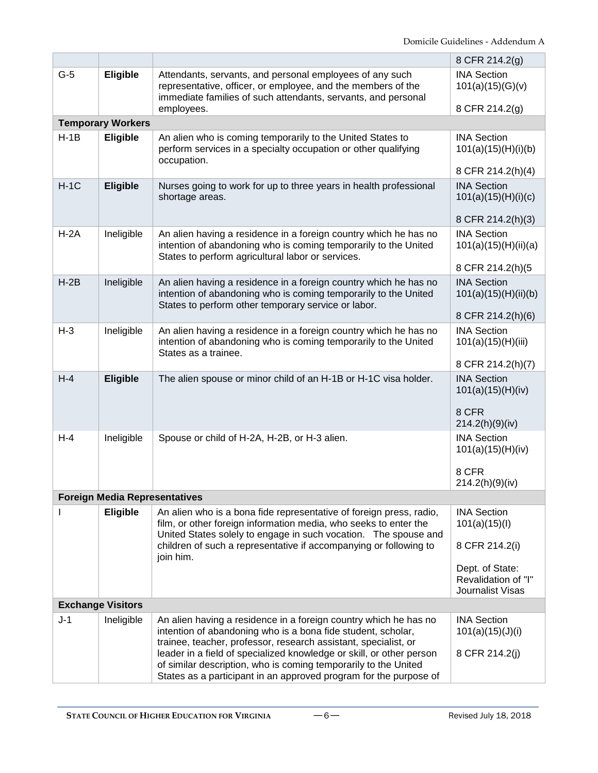|        |                                      |                                                                                                                                                                                                                                                                                                                                                | 8 CFR 214.2(g)                                                 |
|--------|--------------------------------------|------------------------------------------------------------------------------------------------------------------------------------------------------------------------------------------------------------------------------------------------------------------------------------------------------------------------------------------------|----------------------------------------------------------------|
| $G-5$  | <b>Eligible</b>                      | Attendants, servants, and personal employees of any such<br>representative, officer, or employee, and the members of the<br>immediate families of such attendants, servants, and personal<br>employees.                                                                                                                                        | <b>INA Section</b><br>101(a)(15)(G)(v)<br>8 CFR 214.2(g)       |
|        | <b>Temporary Workers</b>             |                                                                                                                                                                                                                                                                                                                                                |                                                                |
| $H-1B$ | <b>Eligible</b>                      | An alien who is coming temporarily to the United States to<br>perform services in a specialty occupation or other qualifying<br>occupation.                                                                                                                                                                                                    | <b>INA Section</b><br>101(a)(15)(H)(i)(b)<br>8 CFR 214.2(h)(4) |
| $H-1C$ |                                      | Nurses going to work for up to three years in health professional                                                                                                                                                                                                                                                                              | <b>INA Section</b>                                             |
|        | <b>Eligible</b>                      | shortage areas.                                                                                                                                                                                                                                                                                                                                | 101(a)(15)(H)(i)(c)                                            |
|        |                                      |                                                                                                                                                                                                                                                                                                                                                | 8 CFR 214.2(h)(3)                                              |
| $H-2A$ | Ineligible                           | An alien having a residence in a foreign country which he has no<br>intention of abandoning who is coming temporarily to the United<br>States to perform agricultural labor or services.                                                                                                                                                       | <b>INA Section</b><br>101(a)(15)(H)(ii)(a)                     |
|        |                                      |                                                                                                                                                                                                                                                                                                                                                | 8 CFR 214.2(h)(5                                               |
| $H-2B$ | Ineligible                           | An alien having a residence in a foreign country which he has no<br>intention of abandoning who is coming temporarily to the United<br>States to perform other temporary service or labor.                                                                                                                                                     | <b>INA Section</b><br>101(a)(15)(H)(ii)(b)                     |
|        |                                      |                                                                                                                                                                                                                                                                                                                                                | 8 CFR 214.2(h)(6)                                              |
| $H-3$  | Ineligible                           | An alien having a residence in a foreign country which he has no<br>intention of abandoning who is coming temporarily to the United<br>States as a trainee.                                                                                                                                                                                    | <b>INA Section</b><br>101(a)(15)(H)(iii)                       |
|        |                                      |                                                                                                                                                                                                                                                                                                                                                | 8 CFR 214.2(h)(7)                                              |
| $H-4$  | <b>Eligible</b>                      | The alien spouse or minor child of an H-1B or H-1C visa holder.                                                                                                                                                                                                                                                                                | <b>INA Section</b><br>101(a)(15)(H)(iv)                        |
|        |                                      |                                                                                                                                                                                                                                                                                                                                                | 8 CFR<br>214.2(h)(9)(iv)                                       |
| $H-4$  | Ineligible                           | Spouse or child of H-2A, H-2B, or H-3 alien.                                                                                                                                                                                                                                                                                                   | <b>INA Section</b><br>101(a)(15)(H)(iv)                        |
|        |                                      |                                                                                                                                                                                                                                                                                                                                                | 8 CFR<br>214.2(h)(9)(iv)                                       |
|        | <b>Foreign Media Representatives</b> |                                                                                                                                                                                                                                                                                                                                                |                                                                |
|        | <b>Eligible</b>                      | An alien who is a bona fide representative of foreign press, radio,<br>film, or other foreign information media, who seeks to enter the<br>United States solely to engage in such vocation. The spouse and                                                                                                                                     | <b>INA Section</b><br>101(a)(15)(I)                            |
|        |                                      | children of such a representative if accompanying or following to<br>join him.                                                                                                                                                                                                                                                                 | 8 CFR 214.2(i)                                                 |
|        |                                      |                                                                                                                                                                                                                                                                                                                                                | Dept. of State:<br>Revalidation of "I"<br>Journalist Visas     |
|        | <b>Exchange Visitors</b>             |                                                                                                                                                                                                                                                                                                                                                |                                                                |
| $J-1$  | Ineligible                           | An alien having a residence in a foreign country which he has no<br>intention of abandoning who is a bona fide student, scholar,<br>trainee, teacher, professor, research assistant, specialist, or<br>leader in a field of specialized knowledge or skill, or other person<br>of similar description, who is coming temporarily to the United | <b>INA Section</b><br>101(a)(15)(J)(i)<br>8 CFR 214.2(j)       |
|        |                                      | States as a participant in an approved program for the purpose of                                                                                                                                                                                                                                                                              |                                                                |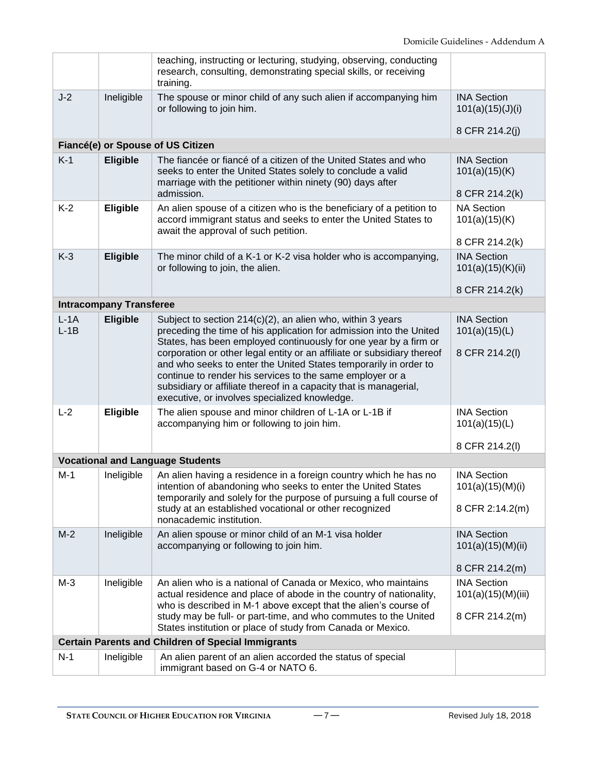|                  |                                | teaching, instructing or lecturing, studying, observing, conducting<br>research, consulting, demonstrating special skills, or receiving<br>training.                                                                                                                                                                           |                                                       |
|------------------|--------------------------------|--------------------------------------------------------------------------------------------------------------------------------------------------------------------------------------------------------------------------------------------------------------------------------------------------------------------------------|-------------------------------------------------------|
| $J-2$            | Ineligible                     | The spouse or minor child of any such alien if accompanying him<br>or following to join him.                                                                                                                                                                                                                                   | <b>INA Section</b><br>101(a)(15)(J)(i)                |
|                  |                                |                                                                                                                                                                                                                                                                                                                                | 8 CFR 214.2(j)                                        |
|                  |                                | Fiancé(e) or Spouse of US Citizen                                                                                                                                                                                                                                                                                              |                                                       |
| $K-1$            | <b>Eligible</b>                | The fiancée or fiancé of a citizen of the United States and who<br>seeks to enter the United States solely to conclude a valid<br>marriage with the petitioner within ninety (90) days after<br>admission.                                                                                                                     | <b>INA Section</b><br>101(a)(15)(K)<br>8 CFR 214.2(k) |
|                  |                                |                                                                                                                                                                                                                                                                                                                                | <b>NA Section</b>                                     |
| $K-2$            | Eligible                       | An alien spouse of a citizen who is the beneficiary of a petition to<br>accord immigrant status and seeks to enter the United States to<br>await the approval of such petition.                                                                                                                                                | 101(a)(15)(K)                                         |
|                  |                                |                                                                                                                                                                                                                                                                                                                                | 8 CFR 214.2(k)                                        |
| $K-3$            | <b>Eligible</b>                | The minor child of a K-1 or K-2 visa holder who is accompanying,<br>or following to join, the alien.                                                                                                                                                                                                                           | <b>INA Section</b><br>101(a)(15)(K)(ii)               |
|                  |                                |                                                                                                                                                                                                                                                                                                                                | 8 CFR 214.2(k)                                        |
|                  | <b>Intracompany Transferee</b> |                                                                                                                                                                                                                                                                                                                                |                                                       |
| $L-1A$<br>$L-1B$ | <b>Eligible</b>                | Subject to section $214(c)(2)$ , an alien who, within 3 years<br>preceding the time of his application for admission into the United<br>States, has been employed continuously for one year by a firm or                                                                                                                       | <b>INA Section</b><br>101(a)(15)(L)                   |
|                  |                                | corporation or other legal entity or an affiliate or subsidiary thereof<br>and who seeks to enter the United States temporarily in order to<br>continue to render his services to the same employer or a<br>subsidiary or affiliate thereof in a capacity that is managerial,<br>executive, or involves specialized knowledge. | 8 CFR 214.2(I)                                        |
| $L-2$            | <b>Eligible</b>                | The alien spouse and minor children of L-1A or L-1B if<br>accompanying him or following to join him.                                                                                                                                                                                                                           | <b>INA Section</b><br>101(a)(15)(L)<br>8 CFR 214.2(I) |
|                  |                                | <b>Vocational and Language Students</b>                                                                                                                                                                                                                                                                                        |                                                       |
| $M-1$            |                                |                                                                                                                                                                                                                                                                                                                                | <b>INA Section</b>                                    |
|                  | Ineligible                     | An alien having a residence in a foreign country which he has no<br>intention of abandoning who seeks to enter the United States<br>temporarily and solely for the purpose of pursuing a full course of                                                                                                                        | 101(a)(15)(M)(i)                                      |
|                  |                                | study at an established vocational or other recognized<br>nonacademic institution.                                                                                                                                                                                                                                             | 8 CFR 2:14.2(m)                                       |
| $M-2$            | Ineligible                     | An alien spouse or minor child of an M-1 visa holder<br>accompanying or following to join him.                                                                                                                                                                                                                                 | <b>INA Section</b><br>101(a)(15)(M)(ii)               |
|                  |                                |                                                                                                                                                                                                                                                                                                                                | 8 CFR 214.2(m)                                        |
| $M-3$            | Ineligible                     | An alien who is a national of Canada or Mexico, who maintains<br>actual residence and place of abode in the country of nationality,<br>who is described in M-1 above except that the alien's course of                                                                                                                         | <b>INA Section</b><br>101(a)(15)(M)(iii)              |
|                  |                                | study may be full- or part-time, and who commutes to the United<br>States institution or place of study from Canada or Mexico.                                                                                                                                                                                                 | 8 CFR 214.2(m)                                        |
|                  |                                | <b>Certain Parents and Children of Special Immigrants</b>                                                                                                                                                                                                                                                                      |                                                       |
| $N-1$            | Ineligible                     | An alien parent of an alien accorded the status of special                                                                                                                                                                                                                                                                     |                                                       |
|                  |                                | immigrant based on G-4 or NATO 6.                                                                                                                                                                                                                                                                                              |                                                       |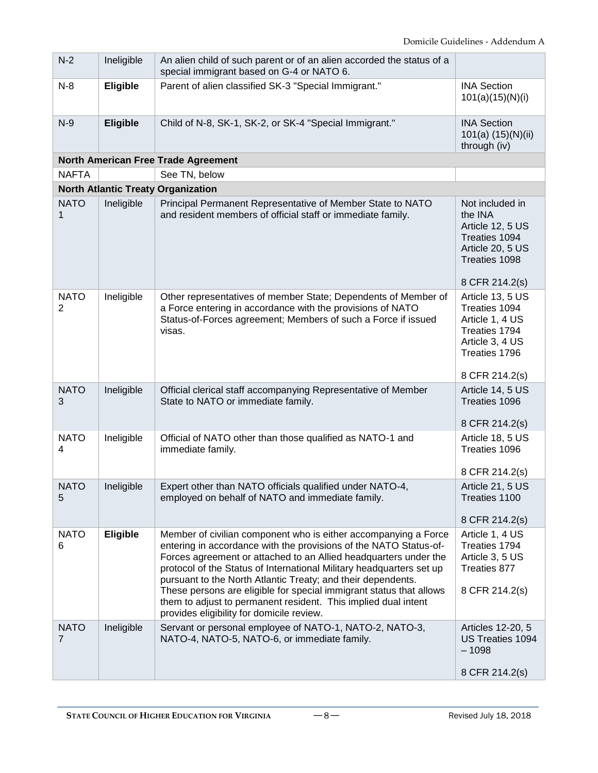| $N-2$                         | Ineligible                                | An alien child of such parent or of an alien accorded the status of a<br>special immigrant based on G-4 or NATO 6.                                                                                                                                                                                                                                                                                                                                                                                                                     |                                                                                                           |  |  |  |
|-------------------------------|-------------------------------------------|----------------------------------------------------------------------------------------------------------------------------------------------------------------------------------------------------------------------------------------------------------------------------------------------------------------------------------------------------------------------------------------------------------------------------------------------------------------------------------------------------------------------------------------|-----------------------------------------------------------------------------------------------------------|--|--|--|
| $N-8$                         | Eligible                                  | Parent of alien classified SK-3 "Special Immigrant."                                                                                                                                                                                                                                                                                                                                                                                                                                                                                   | <b>INA Section</b><br>101(a)(15)(N)(i)                                                                    |  |  |  |
| $N-9$                         | <b>Eligible</b>                           | Child of N-8, SK-1, SK-2, or SK-4 "Special Immigrant."                                                                                                                                                                                                                                                                                                                                                                                                                                                                                 | <b>INA Section</b><br>101(a) (15)(N)(ii)<br>through (iv)                                                  |  |  |  |
|                               |                                           | North American Free Trade Agreement                                                                                                                                                                                                                                                                                                                                                                                                                                                                                                    |                                                                                                           |  |  |  |
| <b>NAFTA</b>                  |                                           | See TN, below                                                                                                                                                                                                                                                                                                                                                                                                                                                                                                                          |                                                                                                           |  |  |  |
|                               | <b>North Atlantic Treaty Organization</b> |                                                                                                                                                                                                                                                                                                                                                                                                                                                                                                                                        |                                                                                                           |  |  |  |
| <b>NATO</b><br>1              | Ineligible                                | Principal Permanent Representative of Member State to NATO<br>and resident members of official staff or immediate family.                                                                                                                                                                                                                                                                                                                                                                                                              | Not included in<br>the INA<br>Article 12, 5 US<br>Treaties 1094<br>Article 20, 5 US<br>Treaties 1098      |  |  |  |
|                               |                                           |                                                                                                                                                                                                                                                                                                                                                                                                                                                                                                                                        | 8 CFR 214.2(s)                                                                                            |  |  |  |
| <b>NATO</b><br>2              | Ineligible                                | Other representatives of member State; Dependents of Member of<br>a Force entering in accordance with the provisions of NATO<br>Status-of-Forces agreement; Members of such a Force if issued<br>visas.                                                                                                                                                                                                                                                                                                                                | Article 13, 5 US<br>Treaties 1094<br>Article 1, 4 US<br>Treaties 1794<br>Article 3, 4 US<br>Treaties 1796 |  |  |  |
|                               |                                           |                                                                                                                                                                                                                                                                                                                                                                                                                                                                                                                                        | 8 CFR 214.2(s)                                                                                            |  |  |  |
| <b>NATO</b><br>3              | Ineligible                                | Official clerical staff accompanying Representative of Member<br>State to NATO or immediate family.                                                                                                                                                                                                                                                                                                                                                                                                                                    | Article 14, 5 US<br>Treaties 1096<br>8 CFR 214.2(s)                                                       |  |  |  |
| <b>NATO</b><br>4              | Ineligible                                | Official of NATO other than those qualified as NATO-1 and<br>immediate family.                                                                                                                                                                                                                                                                                                                                                                                                                                                         | Article 18, 5 US<br>Treaties 1096<br>8 CFR 214.2(s)                                                       |  |  |  |
| <b>NATO</b><br>5              | Ineligible                                | Expert other than NATO officials qualified under NATO-4,<br>employed on behalf of NATO and immediate family.                                                                                                                                                                                                                                                                                                                                                                                                                           | Article 21, 5 US<br>Treaties 1100<br>8 CFR 214.2(s)                                                       |  |  |  |
| <b>NATO</b><br>6              | Eligible                                  | Member of civilian component who is either accompanying a Force<br>entering in accordance with the provisions of the NATO Status-of-<br>Forces agreement or attached to an Allied headquarters under the<br>protocol of the Status of International Military headquarters set up<br>pursuant to the North Atlantic Treaty; and their dependents.<br>These persons are eligible for special immigrant status that allows<br>them to adjust to permanent resident. This implied dual intent<br>provides eligibility for domicile review. | Article 1, 4 US<br>Treaties 1794<br>Article 3, 5 US<br>Treaties 877<br>8 CFR 214.2(s)                     |  |  |  |
| <b>NATO</b><br>$\overline{7}$ | Ineligible                                | Servant or personal employee of NATO-1, NATO-2, NATO-3,<br>NATO-4, NATO-5, NATO-6, or immediate family.                                                                                                                                                                                                                                                                                                                                                                                                                                | Articles 12-20, 5<br>US Treaties 1094<br>$-1098$<br>8 CFR 214.2(s)                                        |  |  |  |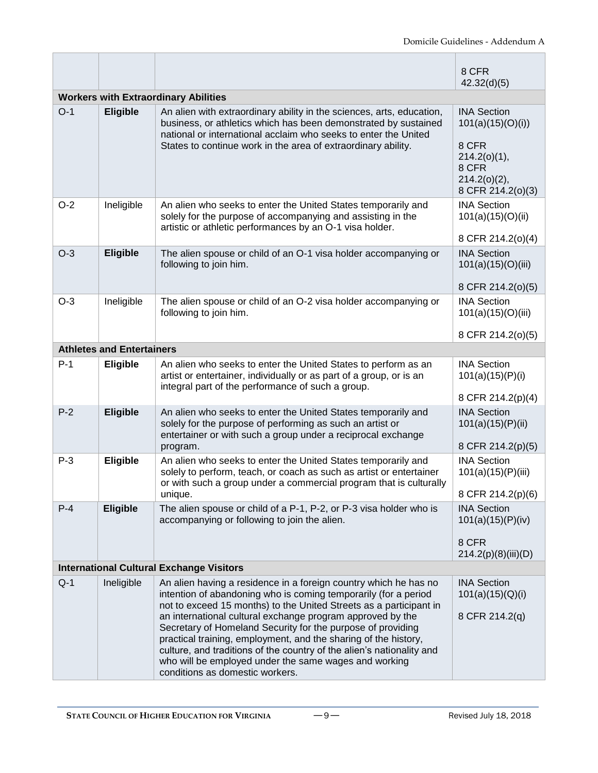|                                                 |                                             |                                                                                                                                                                                                                                                                                                                                                                                                                                                                                                                                                                                | 8 CFR<br>42.32(d)(5)                                                                                              |  |  |
|-------------------------------------------------|---------------------------------------------|--------------------------------------------------------------------------------------------------------------------------------------------------------------------------------------------------------------------------------------------------------------------------------------------------------------------------------------------------------------------------------------------------------------------------------------------------------------------------------------------------------------------------------------------------------------------------------|-------------------------------------------------------------------------------------------------------------------|--|--|
|                                                 | <b>Workers with Extraordinary Abilities</b> |                                                                                                                                                                                                                                                                                                                                                                                                                                                                                                                                                                                |                                                                                                                   |  |  |
| $O-1$                                           | <b>Eligible</b>                             | An alien with extraordinary ability in the sciences, arts, education,<br>business, or athletics which has been demonstrated by sustained<br>national or international acclaim who seeks to enter the United<br>States to continue work in the area of extraordinary ability.                                                                                                                                                                                                                                                                                                   | <b>INA Section</b><br>101(a)(15)(O)(i))<br>8 CFR<br>214.2(0)(1),<br>8 CFR<br>$214.2(0)(2)$ ,<br>8 CFR 214.2(o)(3) |  |  |
| $O-2$                                           | Ineligible                                  | An alien who seeks to enter the United States temporarily and<br>solely for the purpose of accompanying and assisting in the<br>artistic or athletic performances by an O-1 visa holder.                                                                                                                                                                                                                                                                                                                                                                                       | <b>INA Section</b><br>101(a)(15)(O)(ii)<br>8 CFR 214.2(o)(4)                                                      |  |  |
| $O-3$                                           | Eligible                                    | The alien spouse or child of an O-1 visa holder accompanying or<br>following to join him.                                                                                                                                                                                                                                                                                                                                                                                                                                                                                      | <b>INA Section</b><br>101(a)(15)(O)(iii)<br>8 CFR 214.2(0)(5)                                                     |  |  |
| $O-3$                                           | Ineligible                                  | The alien spouse or child of an O-2 visa holder accompanying or<br>following to join him.                                                                                                                                                                                                                                                                                                                                                                                                                                                                                      | <b>INA Section</b><br>101(a)(15)(O)(iii)                                                                          |  |  |
|                                                 |                                             |                                                                                                                                                                                                                                                                                                                                                                                                                                                                                                                                                                                | 8 CFR 214.2(o)(5)                                                                                                 |  |  |
|                                                 | <b>Athletes and Entertainers</b>            |                                                                                                                                                                                                                                                                                                                                                                                                                                                                                                                                                                                |                                                                                                                   |  |  |
| $P-1$                                           | <b>Eligible</b>                             | An alien who seeks to enter the United States to perform as an<br>artist or entertainer, individually or as part of a group, or is an<br>integral part of the performance of such a group.                                                                                                                                                                                                                                                                                                                                                                                     | <b>INA Section</b><br>101(a)(15)(P)(i)<br>8 CFR 214.2(p)(4)                                                       |  |  |
| $P-2$                                           | <b>Eligible</b>                             | An alien who seeks to enter the United States temporarily and<br>solely for the purpose of performing as such an artist or<br>entertainer or with such a group under a reciprocal exchange<br>program.                                                                                                                                                                                                                                                                                                                                                                         | <b>INA Section</b><br>101(a)(15)(P)(ii)<br>8 CFR 214.2(p)(5)                                                      |  |  |
| $P-3$                                           | <b>Eligible</b>                             | An alien who seeks to enter the United States temporarily and<br>solely to perform, teach, or coach as such as artist or entertainer<br>or with such a group under a commercial program that is culturally<br>unique.                                                                                                                                                                                                                                                                                                                                                          | <b>INA Section</b><br>101(a)(15)(P)(iii)<br>8 CFR 214.2(p)(6)                                                     |  |  |
| $P-4$                                           | <b>Eligible</b>                             | The alien spouse or child of a P-1, P-2, or P-3 visa holder who is<br>accompanying or following to join the alien.                                                                                                                                                                                                                                                                                                                                                                                                                                                             | <b>INA Section</b><br>101(a)(15)(P)(iv)<br>8 CFR<br>214.2(p)(8)(iii)(D)                                           |  |  |
| <b>International Cultural Exchange Visitors</b> |                                             |                                                                                                                                                                                                                                                                                                                                                                                                                                                                                                                                                                                |                                                                                                                   |  |  |
| $Q-1$                                           | Ineligible                                  | An alien having a residence in a foreign country which he has no<br>intention of abandoning who is coming temporarily (for a period<br>not to exceed 15 months) to the United Streets as a participant in<br>an international cultural exchange program approved by the<br>Secretary of Homeland Security for the purpose of providing<br>practical training, employment, and the sharing of the history,<br>culture, and traditions of the country of the alien's nationality and<br>who will be employed under the same wages and working<br>conditions as domestic workers. | <b>INA Section</b><br>101(a)(15)(Q)(i)<br>8 CFR 214.2(q)                                                          |  |  |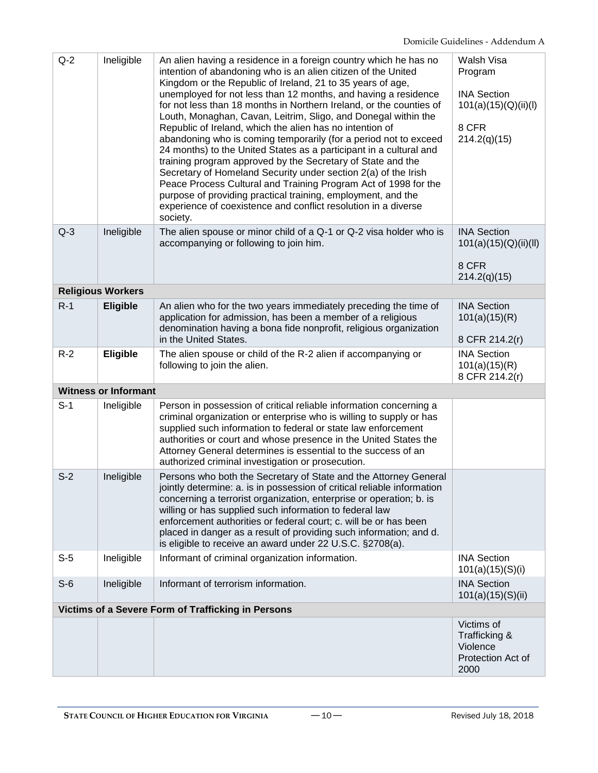| $Q-2$ | Ineligible                  | An alien having a residence in a foreign country which he has no<br>intention of abandoning who is an alien citizen of the United<br>Kingdom or the Republic of Ireland, 21 to 35 years of age,<br>unemployed for not less than 12 months, and having a residence<br>for not less than 18 months in Northern Ireland, or the counties of<br>Louth, Monaghan, Cavan, Leitrim, Sligo, and Donegal within the<br>Republic of Ireland, which the alien has no intention of<br>abandoning who is coming temporarily (for a period not to exceed<br>24 months) to the United States as a participant in a cultural and<br>training program approved by the Secretary of State and the<br>Secretary of Homeland Security under section 2(a) of the Irish<br>Peace Process Cultural and Training Program Act of 1998 for the<br>purpose of providing practical training, employment, and the<br>experience of coexistence and conflict resolution in a diverse<br>society. | Walsh Visa<br>Program<br><b>INA Section</b><br>101(a)(15)(Q)(ii)(I)<br>8 CFR<br>214.2(q)(15) |
|-------|-----------------------------|--------------------------------------------------------------------------------------------------------------------------------------------------------------------------------------------------------------------------------------------------------------------------------------------------------------------------------------------------------------------------------------------------------------------------------------------------------------------------------------------------------------------------------------------------------------------------------------------------------------------------------------------------------------------------------------------------------------------------------------------------------------------------------------------------------------------------------------------------------------------------------------------------------------------------------------------------------------------|----------------------------------------------------------------------------------------------|
| $Q-3$ | Ineligible                  | The alien spouse or minor child of a Q-1 or Q-2 visa holder who is<br>accompanying or following to join him.                                                                                                                                                                                                                                                                                                                                                                                                                                                                                                                                                                                                                                                                                                                                                                                                                                                       | <b>INA Section</b><br>101(a)(15)(Q)(ii)(II)<br>8 CFR<br>214.2(q)(15)                         |
|       | <b>Religious Workers</b>    |                                                                                                                                                                                                                                                                                                                                                                                                                                                                                                                                                                                                                                                                                                                                                                                                                                                                                                                                                                    |                                                                                              |
| $R-1$ | <b>Eligible</b>             | An alien who for the two years immediately preceding the time of<br>application for admission, has been a member of a religious<br>denomination having a bona fide nonprofit, religious organization<br>in the United States.                                                                                                                                                                                                                                                                                                                                                                                                                                                                                                                                                                                                                                                                                                                                      | <b>INA Section</b><br>101(a)(15)(R)<br>8 CFR 214.2(r)                                        |
| $R-2$ | Eligible                    | The alien spouse or child of the R-2 alien if accompanying or<br>following to join the alien.                                                                                                                                                                                                                                                                                                                                                                                                                                                                                                                                                                                                                                                                                                                                                                                                                                                                      | <b>INA Section</b><br>101(a)(15)(R)<br>8 CFR 214.2(r)                                        |
|       | <b>Witness or Informant</b> |                                                                                                                                                                                                                                                                                                                                                                                                                                                                                                                                                                                                                                                                                                                                                                                                                                                                                                                                                                    |                                                                                              |
| $S-1$ | Ineligible                  | Person in possession of critical reliable information concerning a<br>criminal organization or enterprise who is willing to supply or has<br>supplied such information to federal or state law enforcement<br>authorities or court and whose presence in the United States the<br>Attorney General determines is essential to the success of an<br>authorized criminal investigation or prosecution.                                                                                                                                                                                                                                                                                                                                                                                                                                                                                                                                                               |                                                                                              |
| $S-2$ | Ineligible                  | Persons who both the Secretary of State and the Attorney General<br>jointly determine: a. is in possession of critical reliable information<br>concerning a terrorist organization, enterprise or operation; b. is<br>willing or has supplied such information to federal law<br>enforcement authorities or federal court; c. will be or has been<br>placed in danger as a result of providing such information; and d.<br>is eligible to receive an award under 22 U.S.C. §2708(a).                                                                                                                                                                                                                                                                                                                                                                                                                                                                               |                                                                                              |
| $S-5$ | Ineligible                  | Informant of criminal organization information.                                                                                                                                                                                                                                                                                                                                                                                                                                                                                                                                                                                                                                                                                                                                                                                                                                                                                                                    | <b>INA Section</b><br>101(a)(15)(S)(i)                                                       |
| $S-6$ | Ineligible                  | Informant of terrorism information.                                                                                                                                                                                                                                                                                                                                                                                                                                                                                                                                                                                                                                                                                                                                                                                                                                                                                                                                | <b>INA Section</b><br>101(a)(15)(S)(ii)                                                      |
|       |                             | Victims of a Severe Form of Trafficking in Persons                                                                                                                                                                                                                                                                                                                                                                                                                                                                                                                                                                                                                                                                                                                                                                                                                                                                                                                 |                                                                                              |
|       |                             |                                                                                                                                                                                                                                                                                                                                                                                                                                                                                                                                                                                                                                                                                                                                                                                                                                                                                                                                                                    | Victims of<br>Trafficking &<br>Violence<br>Protection Act of<br>2000                         |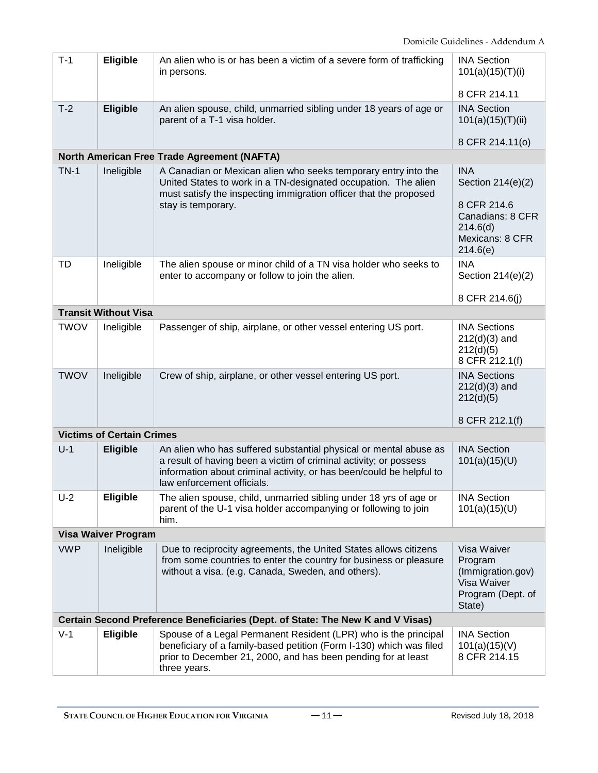| $T-1$                      | <b>Eligible</b>                  | An alien who is or has been a victim of a severe form of trafficking<br>in persons.                                                                                                                                                          | <b>INA Section</b><br>101(a)(15)(T)(i)<br>8 CFR 214.11                                                        |  |
|----------------------------|----------------------------------|----------------------------------------------------------------------------------------------------------------------------------------------------------------------------------------------------------------------------------------------|---------------------------------------------------------------------------------------------------------------|--|
| $T-2$                      | <b>Eligible</b>                  | An alien spouse, child, unmarried sibling under 18 years of age or<br>parent of a T-1 visa holder.                                                                                                                                           | <b>INA Section</b><br>101(a)(15)(T)(ii)<br>8 CFR 214.11(0)                                                    |  |
|                            |                                  | North American Free Trade Agreement (NAFTA)                                                                                                                                                                                                  |                                                                                                               |  |
| $TN-1$                     | Ineligible                       | A Canadian or Mexican alien who seeks temporary entry into the<br>United States to work in a TN-designated occupation. The alien<br>must satisfy the inspecting immigration officer that the proposed<br>stay is temporary.                  | <b>INA</b><br>Section 214(e)(2)<br>8 CFR 214.6<br>Canadians: 8 CFR<br>214.6(d)<br>Mexicans: 8 CFR<br>214.6(e) |  |
| TD                         | Ineligible                       | The alien spouse or minor child of a TN visa holder who seeks to<br>enter to accompany or follow to join the alien.                                                                                                                          | <b>INA</b><br>Section 214(e)(2)<br>8 CFR 214.6(j)                                                             |  |
|                            | <b>Transit Without Visa</b>      |                                                                                                                                                                                                                                              |                                                                                                               |  |
| <b>TWOV</b>                | Ineligible                       | Passenger of ship, airplane, or other vessel entering US port.                                                                                                                                                                               | <b>INA Sections</b><br>$212(d)(3)$ and<br>212(d)(5)<br>8 CFR 212.1(f)                                         |  |
| <b>TWOV</b>                | Ineligible                       | Crew of ship, airplane, or other vessel entering US port.                                                                                                                                                                                    | <b>INA Sections</b><br>$212(d)(3)$ and<br>212(d)(5)<br>8 CFR 212.1(f)                                         |  |
|                            | <b>Victims of Certain Crimes</b> |                                                                                                                                                                                                                                              |                                                                                                               |  |
| $U-1$                      | <b>Eligible</b>                  | An alien who has suffered substantial physical or mental abuse as<br>a result of having been a victim of criminal activity; or possess<br>information about criminal activity, or has been/could be helpful to<br>law enforcement officials. | <b>INA Section</b><br>101(a)(15)(U)                                                                           |  |
| $U-2$                      | <b>Eligible</b>                  | The alien spouse, child, unmarried sibling under 18 yrs of age or<br>parent of the U-1 visa holder accompanying or following to join<br>him.                                                                                                 | <b>INA Section</b><br>101(a)(15)(U)                                                                           |  |
| <b>Visa Waiver Program</b> |                                  |                                                                                                                                                                                                                                              |                                                                                                               |  |
| <b>VWP</b>                 | Ineligible                       | Due to reciprocity agreements, the United States allows citizens<br>from some countries to enter the country for business or pleasure<br>without a visa. (e.g. Canada, Sweden, and others).                                                  | Visa Waiver<br>Program<br>(Immigration.gov)<br>Visa Waiver<br>Program (Dept. of<br>State)                     |  |
|                            |                                  | Certain Second Preference Beneficiaries (Dept. of State: The New K and V Visas)                                                                                                                                                              |                                                                                                               |  |
| $V-1$                      | <b>Eligible</b>                  | Spouse of a Legal Permanent Resident (LPR) who is the principal<br>beneficiary of a family-based petition (Form I-130) which was filed<br>prior to December 21, 2000, and has been pending for at least<br>three years.                      | <b>INA Section</b><br>101(a)(15)(V)<br>8 CFR 214.15                                                           |  |